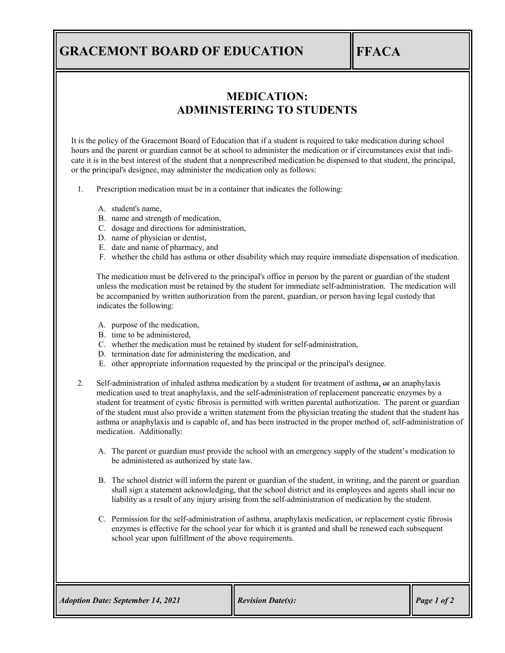# **GRACEMONT BOARD OF EDUCATION FFACA**

## **MEDICATION: ADMINISTERING TO STUDENTS**

It is the policy of the Gracemont Board of Education that if a student is required to take medication during school hours and the parent or guardian cannot be at school to administer the medication or if circumstances exist that indicate it is in the best interest of the student that a nonprescribed medication be dispensed to that student, the principal, or the principal's designee, may administer the medication only as follows:

1. Prescription medication must be in a container that indicates the following:

- A. student's name,
- B. name and strength of medication,
- C. dosage and directions for administration,
- D. name of physician or dentist,
- E. date and name of pharmacy, and
- F. whether the child has asthma or other disability which may require immediate dispensation of medication.

The medication must be delivered to the principal's office in person by the parent or guardian of the student unless the medication must be retained by the student for immediate self-administration. The medication will be accompanied by written authorization from the parent, guardian, or person having legal custody that indicates the following:

- A. purpose of the medication,
- B. time to be administered,
- C. whether the medication must be retained by student for self-administration,
- D. termination date for administering the medication, and
- E. other appropriate information requested by the principal or the principal's designee.
- 2. Self-administration of inhaled asthma medication by a student for treatment of asthma, or an anaphylaxis medication used to treat anaphylaxis, and the self-administration of replacement pancreatic enzymes by a student for treatment of cystic fibrosis is permitted with written parental authorization. The parent or guardian of the student must also provide a written statement from the physician treating the student that the student has asthma or anaphylaxis and is capable of, and has been instructed in the proper method of, self-administration of medication. Additionally:
	- A. The parent or guardian must provide the school with an emergency supply of the student's medication to be administered as authorized by state law.
	- B. The school district will inform the parent or guardian of the student, in writing, and the parent or guardian shall sign a statement acknowledging, that the school district and its employees and agents shall incur no liability as a result of any injury arising from the self-administration of medication by the student.
	- C. Permission for the self-administration of asthma, anaphylaxis medication, or replacement cystic fibrosis enzymes is effective for the school year for which it is granted and shall be renewed each subsequent school year upon fulfillment of the above requirements.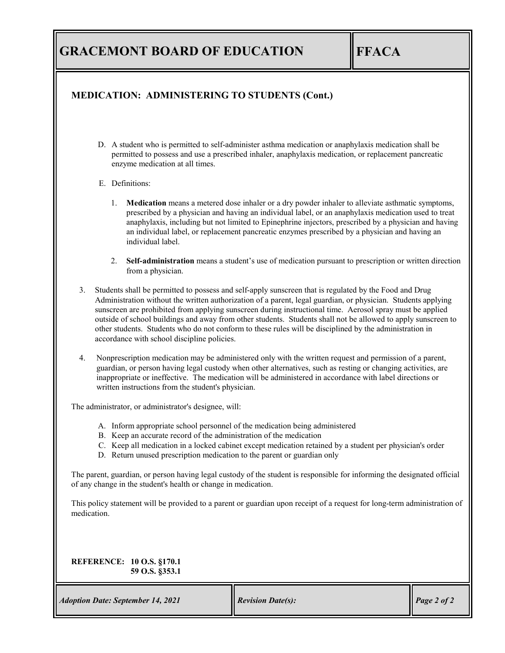# **GRACEMONT BOARD OF EDUCATION FFACA**

### **MEDICATION: ADMINISTERING TO STUDENTS (Cont.)**

D. A student who is permitted to self-administer asthma medication or anaphylaxis medication shall be permitted to possess and use a prescribed inhaler, anaphylaxis medication, or replacement pancreatic enzyme medication at all times.

#### E. Definitions:

- 1. **Medication** means a metered dose inhaler or a dry powder inhaler to alleviate asthmatic symptoms, prescribed by a physician and having an individual label, or an anaphylaxis medication used to treat anaphylaxis, including but not limited to Epinephrine injectors, prescribed by a physician and having an individual label, or replacement pancreatic enzymes prescribed by a physician and having an individual label.
- 2. **Self-administration** means a student's use of medication pursuant to prescription or written direction from a physician.
- 3. Students shall be permitted to possess and self-apply sunscreen that is regulated by the Food and Drug Administration without the written authorization of a parent, legal guardian, or physician. Students applying sunscreen are prohibited from applying sunscreen during instructional time. Aerosol spray must be applied outside of school buildings and away from other students. Students shall not be allowed to apply sunscreen to other students. Students who do not conform to these rules will be disciplined by the administration in accordance with school discipline policies.
- 4. Nonprescription medication may be administered only with the written request and permission of a parent, guardian, or person having legal custody when other alternatives, such as resting or changing activities, are inappropriate or ineffective. The medication will be administered in accordance with label directions or written instructions from the student's physician.

The administrator, or administrator's designee, will:

- A. Inform appropriate school personnel of the medication being administered
- B. Keep an accurate record of the administration of the medication
- C. Keep all medication in a locked cabinet except medication retained by a student per physician's order
- D. Return unused prescription medication to the parent or guardian only

The parent, guardian, or person having legal custody of the student is responsible for informing the designated official of any change in the student's health or change in medication.

This policy statement will be provided to a parent or guardian upon receipt of a request for long-term administration of medication.

### **REFERENCE: 10 O.S. §170.1 59 O.S. §353.1**

*Adoption Date: September 14, 2021 Revision Date(s):* Page 2 of 2